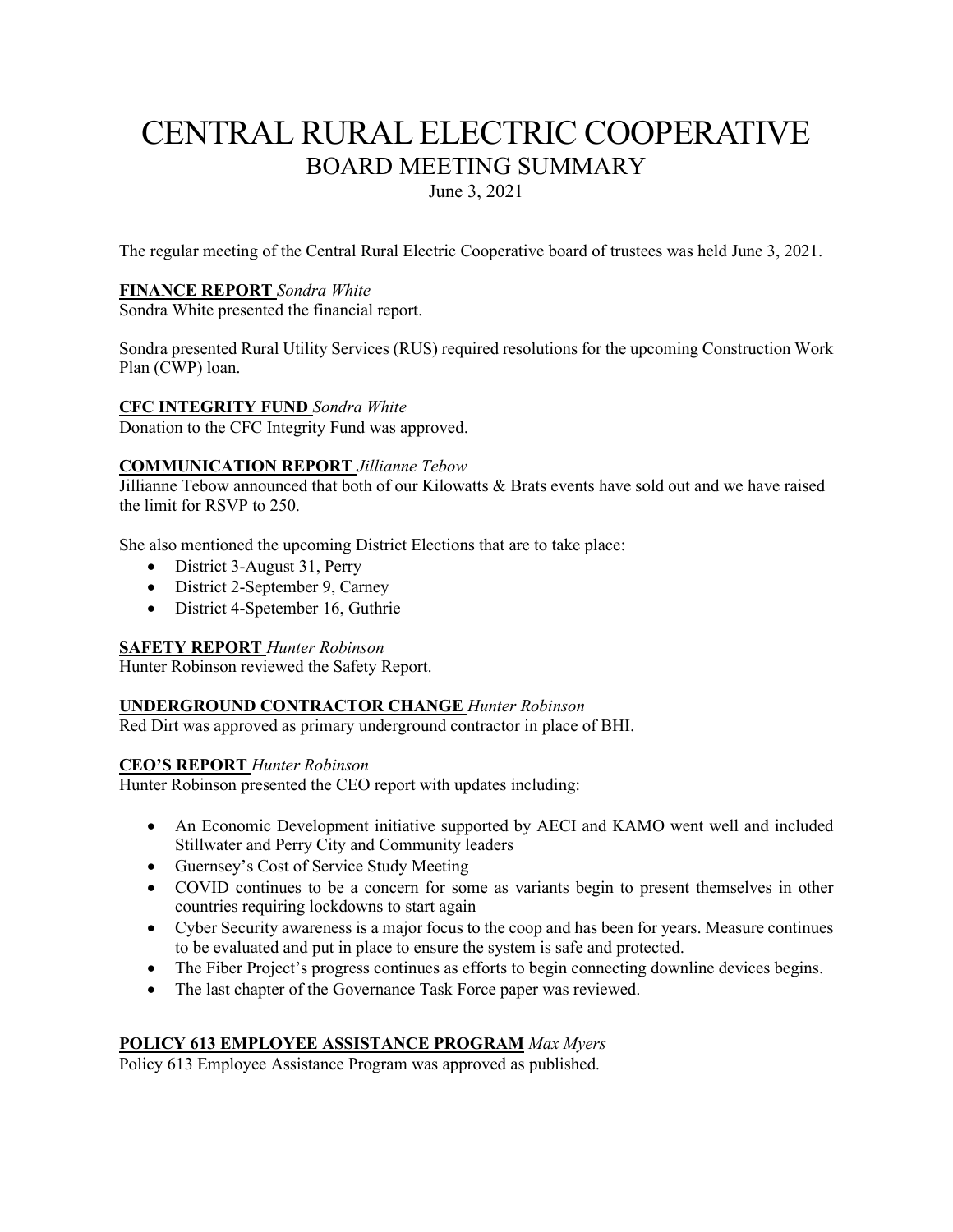# CENTRAL RURAL ELECTRIC COOPERATIVE BOARD MEETING SUMMARY

June 3, 2021

The regular meeting of the Central Rural Electric Cooperative board of trustees was held June 3, 2021.

#### **FINANCE REPORT** *Sondra White*

Sondra White presented the financial report.

Sondra presented Rural Utility Services (RUS) required resolutions for the upcoming Construction Work Plan (CWP) loan.

#### **CFC INTEGRITY FUND** *Sondra White*

Donation to the CFC Integrity Fund was approved.

#### **COMMUNICATION REPORT** *Jillianne Tebow*

Jillianne Tebow announced that both of our Kilowatts & Brats events have sold out and we have raised the limit for RSVP to 250.

She also mentioned the upcoming District Elections that are to take place:

- District 3-August 31, Perry
- District 2-September 9, Carney
- District 4-Spetember 16, Guthrie

#### **SAFETY REPORT** *Hunter Robinson*

Hunter Robinson reviewed the Safety Report.

#### **UNDERGROUND CONTRACTOR CHANGE** *Hunter Robinson*

Red Dirt was approved as primary underground contractor in place of BHI.

#### **CEO'S REPORT** *Hunter Robinson*

Hunter Robinson presented the CEO report with updates including:

- An Economic Development initiative supported by AECI and KAMO went well and included Stillwater and Perry City and Community leaders
- Guernsey's Cost of Service Study Meeting
- COVID continues to be a concern for some as variants begin to present themselves in other countries requiring lockdowns to start again
- Cyber Security awareness is a major focus to the coop and has been for years. Measure continues to be evaluated and put in place to ensure the system is safe and protected.
- The Fiber Project's progress continues as efforts to begin connecting downline devices begins.
- The last chapter of the Governance Task Force paper was reviewed.

# **POLICY 613 EMPLOYEE ASSISTANCE PROGRAM** *Max Myers*

Policy 613 Employee Assistance Program was approved as published.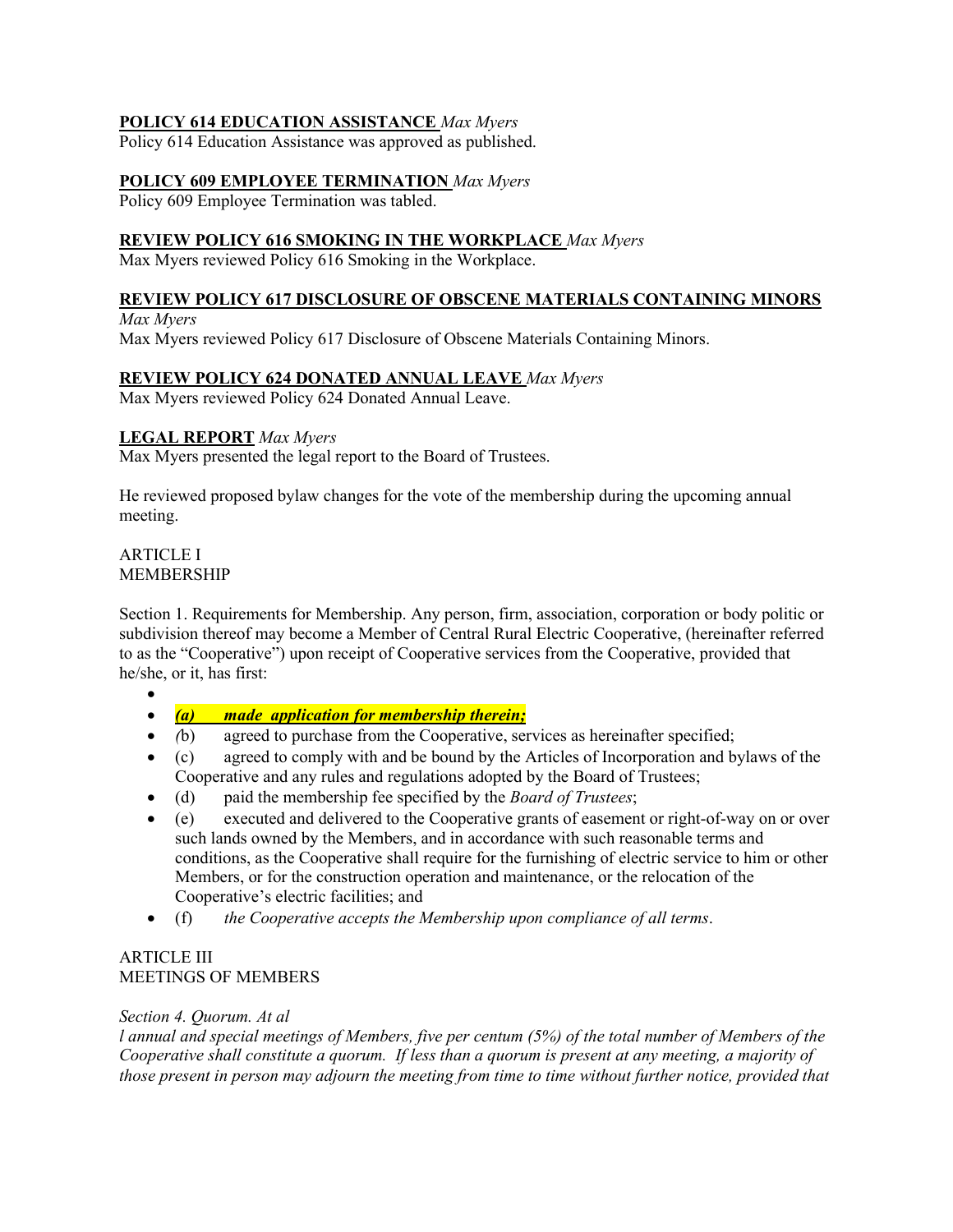# **POLICY 614 EDUCATION ASSISTANCE** *Max Myers*

Policy 614 Education Assistance was approved as published.

### **POLICY 609 EMPLOYEE TERMINATION** *Max Myers*

Policy 609 Employee Termination was tabled.

#### **REVIEW POLICY 616 SMOKING IN THE WORKPLACE** *Max Myers*

Max Myers reviewed Policy 616 Smoking in the Workplace.

# **REVIEW POLICY 617 DISCLOSURE OF OBSCENE MATERIALS CONTAINING MINORS**

*Max Myers* Max Myers reviewed Policy 617 Disclosure of Obscene Materials Containing Minors.

#### **REVIEW POLICY 624 DONATED ANNUAL LEAVE** *Max Myers*

Max Myers reviewed Policy 624 Donated Annual Leave.

#### **LEGAL REPORT** *Max Myers*

Max Myers presented the legal report to the Board of Trustees.

He reviewed proposed bylaw changes for the vote of the membership during the upcoming annual meeting.

#### ARTICLE I MEMBERSHIP

Section 1. Requirements for Membership. Any person, firm, association, corporation or body politic or subdivision thereof may become a Member of Central Rural Electric Cooperative, (hereinafter referred to as the "Cooperative") upon receipt of Cooperative services from the Cooperative, provided that he/she, or it, has first:

- •
- *(a) made application for membership therein;*
- *(*b) agreed to purchase from the Cooperative, services as hereinafter specified;
- (c) agreed to comply with and be bound by the Articles of Incorporation and bylaws of the Cooperative and any rules and regulations adopted by the Board of Trustees;
- (d) paid the membership fee specified by the *Board of Trustees*;
- (e) executed and delivered to the Cooperative grants of easement or right-of-way on or over such lands owned by the Members, and in accordance with such reasonable terms and conditions, as the Cooperative shall require for the furnishing of electric service to him or other Members, or for the construction operation and maintenance, or the relocation of the Cooperative's electric facilities; and
- (f) *the Cooperative accepts the Membership upon compliance of all terms*.

# ARTICLE III MEETINGS OF MEMBERS

# *Section 4. Quorum. At al*

*l annual and special meetings of Members, five per centum (5%) of the total number of Members of the Cooperative shall constitute a quorum. If less than a quorum is present at any meeting, a majority of those present in person may adjourn the meeting from time to time without further notice, provided that*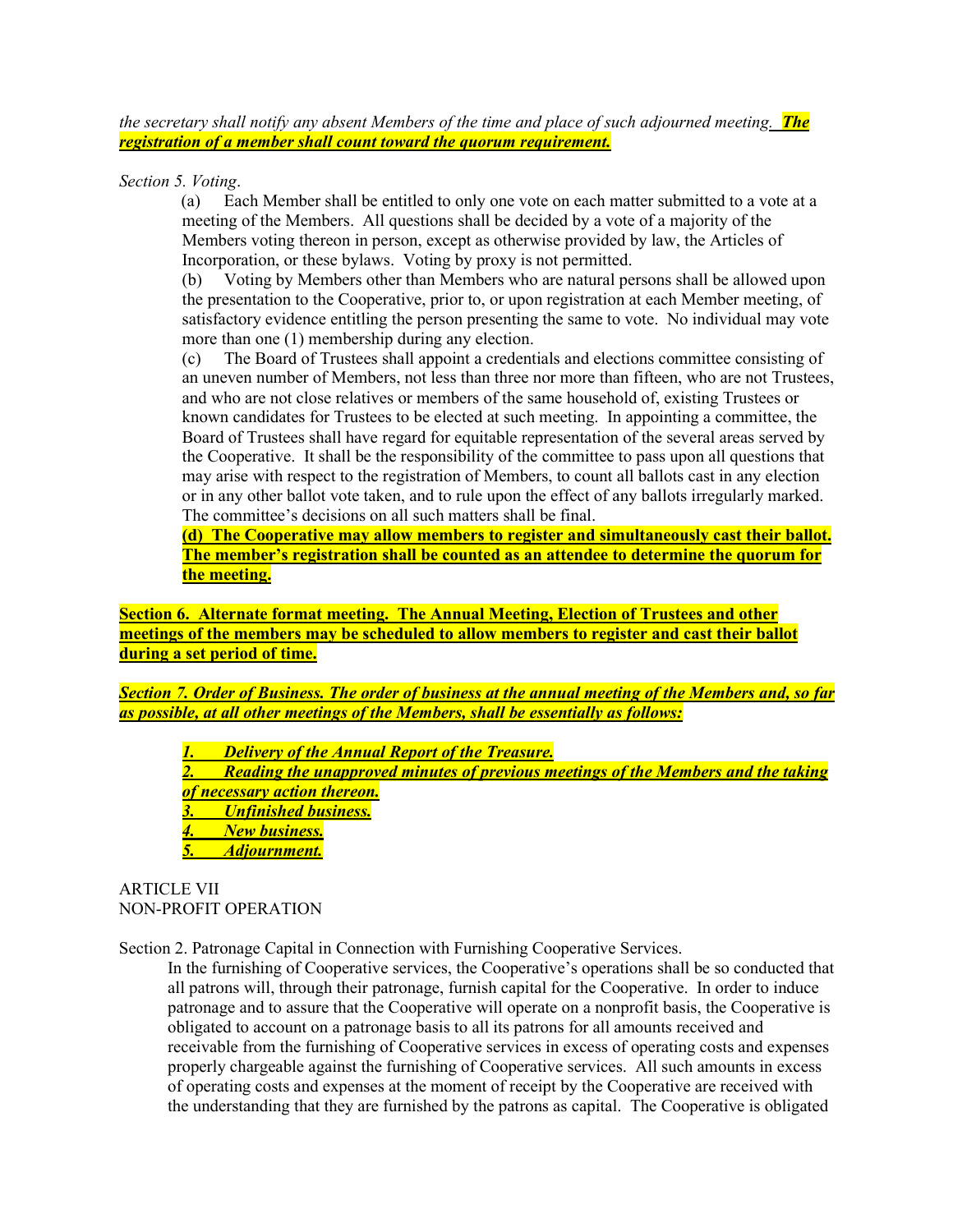*the secretary shall notify any absent Members of the time and place of such adjourned meeting. The registration of a member shall count toward the quorum requirement.*

*Section 5. Voting*.

(a) Each Member shall be entitled to only one vote on each matter submitted to a vote at a meeting of the Members. All questions shall be decided by a vote of a majority of the Members voting thereon in person, except as otherwise provided by law, the Articles of Incorporation, or these bylaws. Voting by proxy is not permitted.

(b) Voting by Members other than Members who are natural persons shall be allowed upon the presentation to the Cooperative, prior to, or upon registration at each Member meeting, of satisfactory evidence entitling the person presenting the same to vote. No individual may vote more than one (1) membership during any election.

(c) The Board of Trustees shall appoint a credentials and elections committee consisting of an uneven number of Members, not less than three nor more than fifteen, who are not Trustees, and who are not close relatives or members of the same household of, existing Trustees or known candidates for Trustees to be elected at such meeting. In appointing a committee, the Board of Trustees shall have regard for equitable representation of the several areas served by the Cooperative. It shall be the responsibility of the committee to pass upon all questions that may arise with respect to the registration of Members, to count all ballots cast in any election or in any other ballot vote taken, and to rule upon the effect of any ballots irregularly marked. The committee's decisions on all such matters shall be final.

**(d) The Cooperative may allow members to register and simultaneously cast their ballot. The member's registration shall be counted as an attendee to determine the quorum for the meeting.**

**Section 6. Alternate format meeting. The Annual Meeting, Election of Trustees and other meetings of the members may be scheduled to allow members to register and cast their ballot during a set period of time.**

*Section 7. Order of Business. The order of business at the annual meeting of the Members and, so far as possible, at all other meetings of the Members, shall be essentially as follows:*

*1. Delivery of the Annual Report of the Treasure. 2. Reading the unapproved minutes of previous meetings of the Members and the taking of necessary action thereon. 3. Unfinished business. 4. New business. 5. Adjournment.*

ARTICLE VII NON-PROFIT OPERATION

Section 2. Patronage Capital in Connection with Furnishing Cooperative Services.

In the furnishing of Cooperative services, the Cooperative's operations shall be so conducted that all patrons will, through their patronage, furnish capital for the Cooperative. In order to induce patronage and to assure that the Cooperative will operate on a nonprofit basis, the Cooperative is obligated to account on a patronage basis to all its patrons for all amounts received and receivable from the furnishing of Cooperative services in excess of operating costs and expenses properly chargeable against the furnishing of Cooperative services. All such amounts in excess of operating costs and expenses at the moment of receipt by the Cooperative are received with the understanding that they are furnished by the patrons as capital. The Cooperative is obligated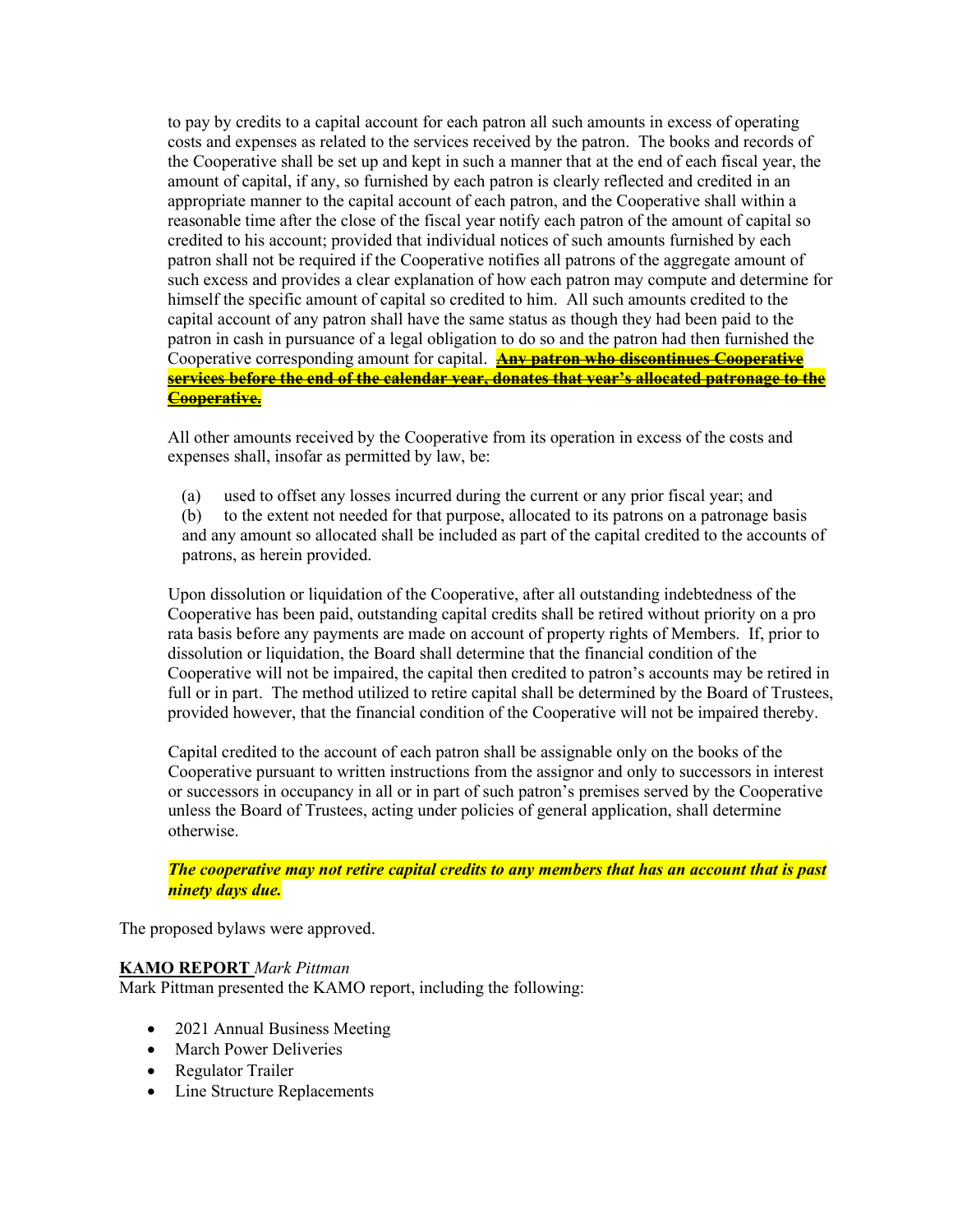to pay by credits to a capital account for each patron all such amounts in excess of operating costs and expenses as related to the services received by the patron. The books and records of the Cooperative shall be set up and kept in such a manner that at the end of each fiscal year, the amount of capital, if any, so furnished by each patron is clearly reflected and credited in an appropriate manner to the capital account of each patron, and the Cooperative shall within a reasonable time after the close of the fiscal year notify each patron of the amount of capital so credited to his account; provided that individual notices of such amounts furnished by each patron shall not be required if the Cooperative notifies all patrons of the aggregate amount of such excess and provides a clear explanation of how each patron may compute and determine for himself the specific amount of capital so credited to him. All such amounts credited to the capital account of any patron shall have the same status as though they had been paid to the patron in cash in pursuance of a legal obligation to do so and the patron had then furnished the Cooperative corresponding amount for capital. **Any patron who discontinues Cooperative services before the end of the calendar year, donates that year's allocated patronage to the Cooperative.**

All other amounts received by the Cooperative from its operation in excess of the costs and expenses shall, insofar as permitted by law, be:

(a) used to offset any losses incurred during the current or any prior fiscal year; and

(b) to the extent not needed for that purpose, allocated to its patrons on a patronage basis and any amount so allocated shall be included as part of the capital credited to the accounts of patrons, as herein provided.

Upon dissolution or liquidation of the Cooperative, after all outstanding indebtedness of the Cooperative has been paid, outstanding capital credits shall be retired without priority on a pro rata basis before any payments are made on account of property rights of Members. If, prior to dissolution or liquidation, the Board shall determine that the financial condition of the Cooperative will not be impaired, the capital then credited to patron's accounts may be retired in full or in part. The method utilized to retire capital shall be determined by the Board of Trustees, provided however, that the financial condition of the Cooperative will not be impaired thereby.

Capital credited to the account of each patron shall be assignable only on the books of the Cooperative pursuant to written instructions from the assignor and only to successors in interest or successors in occupancy in all or in part of such patron's premises served by the Cooperative unless the Board of Trustees, acting under policies of general application, shall determine otherwise.

*The cooperative may not retire capital credits to any members that has an account that is past ninety days due.* 

The proposed bylaws were approved.

#### **KAMO REPORT** *Mark Pittman*

Mark Pittman presented the KAMO report, including the following:

- 2021 Annual Business Meeting
- March Power Deliveries
- Regulator Trailer
- Line Structure Replacements